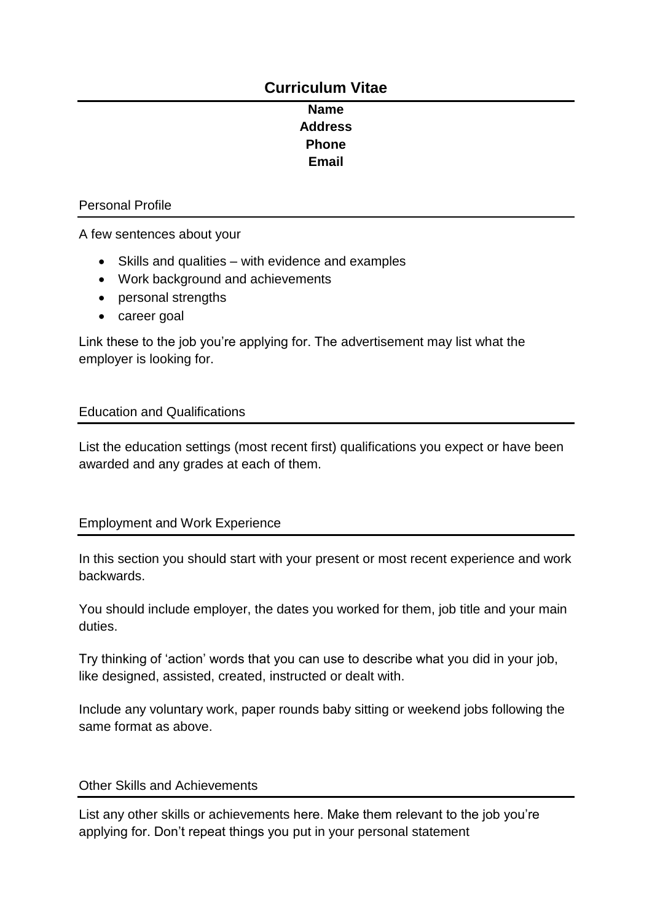# **Curriculum Vitae**

## **Name Address Phone Email**

#### Personal Profile

A few sentences about your

- Skills and qualities with evidence and examples
- Work background and achievements
- personal strengths
- career goal

Link these to the job you're applying for. The advertisement may list what the employer is looking for.

## Education and Qualifications

List the education settings (most recent first) qualifications you expect or have been awarded and any grades at each of them.

## Employment and Work Experience

In this section you should start with your present or most recent experience and work backwards.

You should include employer, the dates you worked for them, job title and your main duties.

Try thinking of 'action' words that you can use to describe what you did in your job, like designed, assisted, created, instructed or dealt with.

Include any voluntary work, paper rounds baby sitting or weekend jobs following the same format as above.

## Other Skills and Achievements

List any other skills or achievements here. Make them relevant to the job you're applying for. Don't repeat things you put in your personal statement